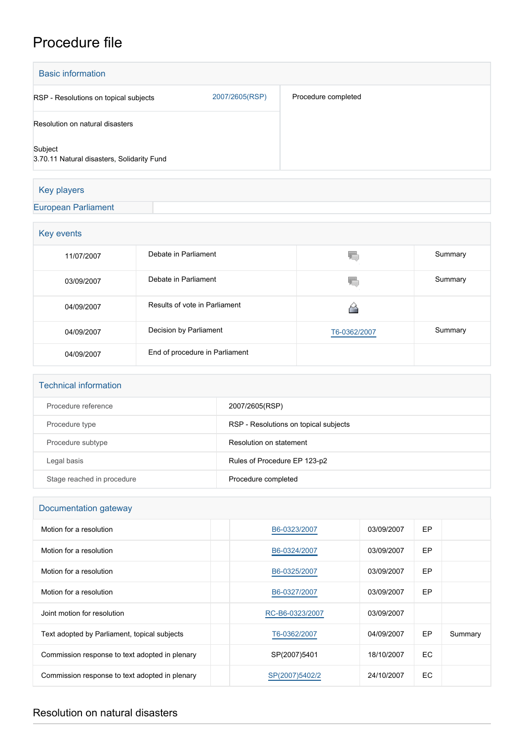# Procedure file

| <b>Basic information</b>                              |                |                     |
|-------------------------------------------------------|----------------|---------------------|
| RSP - Resolutions on topical subjects                 | 2007/2605(RSP) | Procedure completed |
| Resolution on natural disasters                       |                |                     |
| Subject<br>3.70.11 Natural disasters, Solidarity Fund |                |                     |
| Key players                                           |                |                     |

[European Parliament](http://www.europarl.europa.eu/)

| Key events |                                |              |         |  |
|------------|--------------------------------|--------------|---------|--|
| 11/07/2007 | Debate in Parliament           |              | Summary |  |
| 03/09/2007 | Debate in Parliament           |              | Summary |  |
| 04/09/2007 | Results of vote in Parliament  |              |         |  |
| 04/09/2007 | Decision by Parliament         | T6-0362/2007 | Summary |  |
| 04/09/2007 | End of procedure in Parliament |              |         |  |

| <b>Technical information</b> |                                       |  |  |  |
|------------------------------|---------------------------------------|--|--|--|
| Procedure reference          | 2007/2605(RSP)                        |  |  |  |
| Procedure type               | RSP - Resolutions on topical subjects |  |  |  |
| Procedure subtype            | Resolution on statement               |  |  |  |
| Legal basis                  | Rules of Procedure EP 123-p2          |  |  |  |
| Stage reached in procedure   | Procedure completed                   |  |  |  |

## Documentation gateway

| Motion for a resolution                        | B6-0323/2007    | 03/09/2007 | <b>EP</b> |         |
|------------------------------------------------|-----------------|------------|-----------|---------|
| Motion for a resolution                        | B6-0324/2007    | 03/09/2007 | EP        |         |
| Motion for a resolution                        | B6-0325/2007    | 03/09/2007 | <b>EP</b> |         |
| Motion for a resolution                        | B6-0327/2007    | 03/09/2007 | EP        |         |
| Joint motion for resolution                    | RC-B6-0323/2007 | 03/09/2007 |           |         |
| Text adopted by Parliament, topical subjects   | T6-0362/2007    | 04/09/2007 | EP        | Summary |
| Commission response to text adopted in plenary | SP(2007)5401    | 18/10/2007 | EC.       |         |
| Commission response to text adopted in plenary | SP(2007)5402/2  | 24/10/2007 | EC.       |         |

## Resolution on natural disasters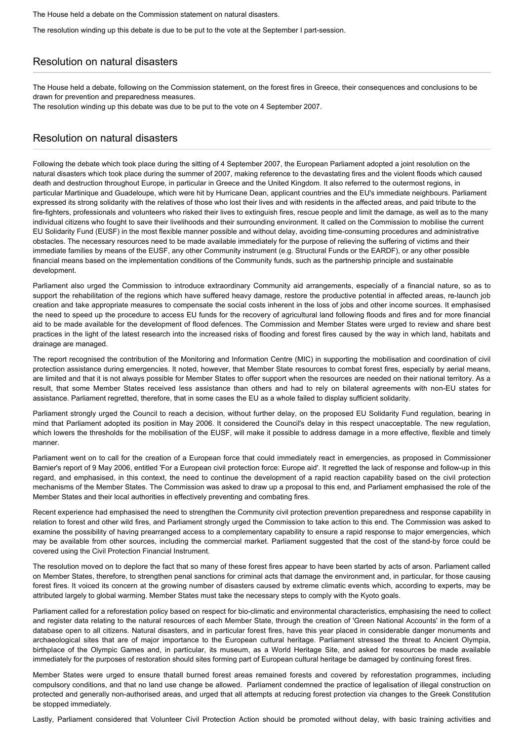The House held a debate on the Commission statement on natural disasters.

The resolution winding up this debate is due to be put to the vote at the September I part-session.

### Resolution on natural disasters

The House held a debate, following on the Commission statement, on the forest fires in Greece, their consequences and conclusions to be drawn for prevention and preparedness measures.

The resolution winding up this debate was due to be put to the vote on 4 September 2007.

#### Resolution on natural disasters

Following the debate which took place during the sitting of 4 September 2007, the European Parliament adopted a joint resolution on the natural disasters which took place during the summer of 2007, making reference to the devastating fires and the violent floods which caused death and destruction throughout Europe, in particular in Greece and the United Kingdom. It also referred to the outermost regions, in particular Martinique and Guadeloupe, which were hit by Hurricane Dean, applicant countries and the EU's immediate neighbours. Parliament expressed its strong solidarity with the relatives of those who lost their lives and with residents in the affected areas, and paid tribute to the fire-fighters, professionals and volunteers who risked their lives to extinguish fires, rescue people and limit the damage, as well as to the many individual citizens who fought to save their livelihoods and their surrounding environment. It called on the Commission to mobilise the current EU Solidarity Fund (EUSF) in the most flexible manner possible and without delay, avoiding time-consuming procedures and administrative obstacles. The necessary resources need to be made available immediately for the purpose of relieving the suffering of victims and their immediate families by means of the EUSF, any other Community instrument (e.g. Structural Funds or the EARDF), or any other possible financial means based on the implementation conditions of the Community funds, such as the partnership principle and sustainable development.

Parliament also urged the Commission to introduce extraordinary Community aid arrangements, especially of a financial nature, so as to support the rehabilitation of the regions which have suffered heavy damage, restore the productive potential in affected areas, re-launch job creation and take appropriate measures to compensate the social costs inherent in the loss of jobs and other income sources. It emphasised the need to speed up the procedure to access EU funds for the recovery of agricultural land following floods and fires and for more financial aid to be made available for the development of flood defences. The Commission and Member States were urged to review and share best practices in the light of the latest research into the increased risks of flooding and forest fires caused by the way in which land, habitats and drainage are managed.

The report recognised the contribution of the Monitoring and Information Centre (MIC) in supporting the mobilisation and coordination of civil protection assistance during emergencies. It noted, however, that Member State resources to combat forest fires, especially by aerial means, are limited and that it is not always possible for Member States to offer support when the resources are needed on their national territory. As a result, that some Member States received less assistance than others and had to rely on bilateral agreements with non-EU states for assistance. Parliament regretted, therefore, that in some cases the EU as a whole failed to display sufficient solidarity.

Parliament strongly urged the Council to reach a decision, without further delay, on the proposed EU Solidarity Fund regulation, bearing in mind that Parliament adopted its position in May 2006. It considered the Council's delay in this respect unacceptable. The new regulation, which lowers the thresholds for the mobilisation of the EUSF, will make it possible to address damage in a more effective, flexible and timely manner.

Parliament went on to call for the creation of a European force that could immediately react in emergencies, as proposed in Commissioner Barnier's report of 9 May 2006, entitled 'For a European civil protection force: Europe aid'. It regretted the lack of response and follow-up in this regard, and emphasised, in this context, the need to continue the development of a rapid reaction capability based on the civil protection mechanisms of the Member States. The Commission was asked to draw up a proposal to this end, and Parliament emphasised the role of the Member States and their local authorities in effectively preventing and combating fires.

Recent experience had emphasised the need to strengthen the Community civil protection prevention preparedness and response capability in relation to forest and other wild fires, and Parliament strongly urged the Commission to take action to this end. The Commission was asked to examine the possibility of having prearranged access to a complementary capability to ensure a rapid response to major emergencies, which may be available from other sources, including the commercial market. Parliament suggested that the cost of the stand-by force could be covered using the Civil Protection Financial Instrument.

The resolution moved on to deplore the fact that so many of these forest fires appear to have been started by acts of arson. Parliament called on Member States, therefore, to strengthen penal sanctions for criminal acts that damage the environment and, in particular, for those causing forest fires. It voiced its concern at the growing number of disasters caused by extreme climatic events which, according to experts, may be attributed largely to global warming. Member States must take the necessary steps to comply with the Kyoto goals.

Parliament called for a reforestation policy based on respect for bio-climatic and environmental characteristics, emphasising the need to collect and register data relating to the natural resources of each Member State, through the creation of 'Green National Accounts' in the form of a database open to all citizens. Natural disasters, and in particular forest fires, have this year placed in considerable danger monuments and archaeological sites that are of major importance to the European cultural heritage. Parliament stressed the threat to Ancient Olympia, birthplace of the Olympic Games and, in particular, its museum, as a World Heritage Site, and asked for resources be made available immediately for the purposes of restoration should sites forming part of European cultural heritage be damaged by continuing forest fires.

Member States were urged to ensure thatall burned forest areas remained forests and covered by reforestation programmes, including compulsory conditions, and that no land use change be allowed. Parliament condemned the practice of legalisation of illegal construction on protected and generally non-authorised areas, and urged that all attempts at reducing forest protection via changes to the Greek Constitution be stopped immediately.

Lastly, Parliament considered that Volunteer Civil Protection Action should be promoted without delay, with basic training activities and